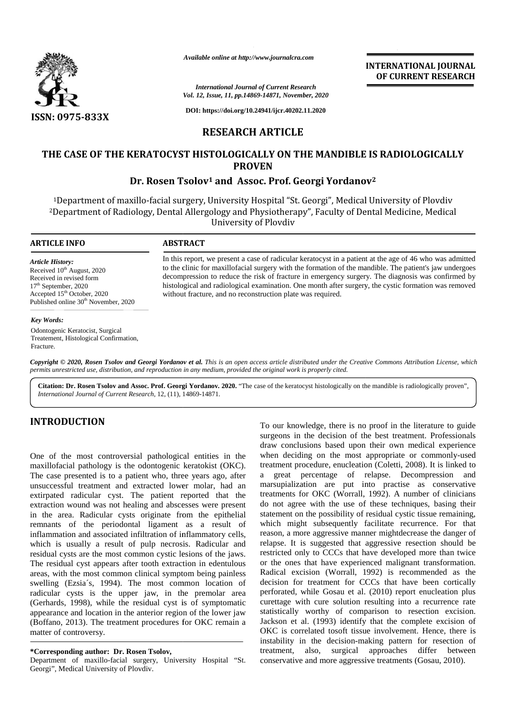

*Available online at http://www.journalcra.com*

*International Journal of Current Research Vol. 12, Issue, 11, pp.14869-14871, November, 2020*

**DOI: https://doi.org/10.24941/ijcr.40202.11.2020**

# **RESEARCH ARTICLE**

# **THE CASE OF THE KERATOCYST HISTOLOGICALLY ON THE MANDIBLE IS RADIOLOGICALLY CASE OF PROVEN PROVEN**

#### **Dr. Rosen Tsolov<sup>1</sup> and Assoc. Prof. Georgi Yordanov<sup>2</sup> Dr.Tsolov**

<sup>1</sup>Department of maxillo-facial surgery, University Hospital "St. Georgi", Medical University of Plovdiv <sup>2</sup>Department of Radiology, Dental Allergology and Physiotherapy", Faculty of Dental Medicine, Medical University of Plovdiv maxillo-facial surgery, University Hospital "St. Georgi", Medical University of Plovdiv<br>diology, Dental Allergology and Physiotherapy", Faculty of Dental Medicine, Medical<br>University of Plovdiv *Awaliable online at http://www.journalcra.com*<br> *Research*<br> *Vol. 12, Issue, 11, pp.14869-14871, November,*<br> **RESEARCH ARTICLE**<br> **RESEARCH ARTICLE**<br> **RESEARCH ARTICLE**<br> **RESEARCH ARTICLE**<br> **RESEARCH ARTICLE**<br> **PROVEN**<br> **D** 

#### **ARTICLE INFO ABSTRACT ARTICLE ABSTRACT**

*Article History:* Received  $10^{th}$  August, 2020 Received in revised form 17<sup>th</sup> September, 2020 Accepted 15<sup>th</sup> October, 2020 Received in revised form<br>17<sup>th</sup> September, 2020<br>Accepted 15<sup>th</sup> October, 2020<br>Published online 30<sup>th</sup> November, 2020

#### *Key Words:*

Odontogenic Keratocist, Surgical Treatement, Histological Confirmation, Fracture.

In this report, we present a case of radicular keratocyst in a patient at the age of 46 who was admitted to the clinic for maxillofacial surgery with the formation of the mandible. The patient's jaw undergoes decompression to reduce the risk of fracture in emergency surgery. The diagnosis was confirmed by histological and radiological examination. One month after surgery, the cystic formation was removed without fracture, and no reconstruction plate was required. decompression to reduce the risk of fracture in emergency surgery. The histological and radiological examination. One month after surgery, the c<br>without fracture, and no reconstruction plate was required. In this report, we present a<br>gust, 2020 to the clinic for maxillofaci<br>eed form decompression to reduce the<br>2020 histological and radiologica<br>30<sup>th</sup> November, 2020<br>actocist, Surgical<br>catocist, Surgical<br>cological Confirmatio

**INTERNATIONAL JOURNAL OF CURRENT RESEARCH**

**Copyright © 2020, Rosen Tsolov and Georgi Yordanov et al.** This is an open access article distributed under the Creative Commons Attribution License, which<br>permits unrestricted use, distribution, and reproduction in any m *permits unrestricted use,distribution, and reproduction in any medium, provided the original work is properly cited.*

Citation: Dr. Rosen Tsolov and Assoc. Prof. Georgi Yordanov. 2020. "The case of the keratocyst histologically on the mandible is radiologically proven", *International Journal of Current Research*, 12, (11), 14869-14871.

## **INTRODUCTION INTRODUCTION**

One of the most controversial pathological entities in the maxillofacial pathology is the odontogenic keratokist (OKC). One of the most controversial pathological entities in the w<br>maxillofacial pathology is the odontogenic keratokist (OKC). true<br>The case presented is to a patient who, three years ago, after a unsuccessful treatment and extracted lower molar, had an extirpated radicular cyst. The patient reported that the extraction wound was not healing and abscesses were present in the area. Radicular cysts originate from the epithelial remnants of the periodontal ligament as a result of inflammation and associated infiltration of inflammatory cells, which is usually a result of pulp necrosis. Radicular and residual cysts are the most common cystic lesions of the jaws. The residual cyst appears after tooth extraction in edentulous areas, with the most common clinical symptom being painless in the area. Radicular cysts originate from the epithelial st<br>remnants of the periodontal ligament as a result of w<br>inflammation and associated infiltration of inflammatory cells,<br>which is usually a result of pulp necrosis radicular cysts is the upper jaw, in the premolar area (Gerhards, 1998), while the residual cyst is of symptomatic appearance and location in the anterior region of the lower jaw (Boffano, 2013). The treatment procedures for OKC remain a matter of controversy. unsuccessful treatment and extracted lower molar, had an<br>extirpated radicular cyst. The patient reported that the<br>extraction wound was not healing and abscesses were present radicular cysts is the upper jaw, in the premolar area (Gerhards, 1998), while the residual cyst is of symptomatic appearance and location in the anterior region of the lower jaw (Boffano, 2013). The treatment procedures f International Journal of Current Resear<br>
Vol. 12, Issue, 11, pp.14869-14871, November<br>
DOI: https://doi.org/10.24941/igr.40.20.1<br>
RESEARCH ARTICLE<br>
CYST HISTOLOGICALLY ON TH<br>
PROVEN<br>
PROVEN<br>
PROVEN<br>
TSOLOV<sup>1</sup> and Assoc. P

Department of maxillo-facial surgery, University Hospital "St.<br>Georgi", Medical University of Plovdiv. Georgi", Medical University of Plovdiv.

To our knowledge, there is no proof in the literature to guide surgeons in the decision of the best treatment. Professionals draw conclusions based upon their own medical experience when deciding on the most appropriate or commonly-used treatment procedure, enucleation (Coletti, 2008). It is linked to a great percentage of relapse. Decompression and marsupialization are put into practise as conservative treatments for OKC (Worrall, 1992). A number of clinicians do not agree with the use of these techniques, basing their statement on the possibility of residual cystic tissue remaining, which might subsequently facilitate recurrence. For that reason, a more aggressive manner mightdecrease the danger of relapse. It is suggested that aggressive resection should be restricted only to CCCs that have developed more than twice or the ones that have experienced malignant transformation. Radical excision (Worrall, 1992) is recommended as the decision for treatment for CCCs that have been cortically perforated, while Gosau et al. (2010) report enucleation plus curettage with cure solution resulting into a recurrence rate statistically worthy of comparison to resection excision. Jackson et al. (1993) identify that the complete excision of OKC is correlated tosoft tissue involvement. Hence, there is instability in the decision-making pattern for resection of treatment, also, surgical approaches differ between conservative and more aggressive treatments (Gosau, 2010). no proof in the literature to guide<br>
ithe best treatment. Professionals<br>
on their own medical experience<br>
st appropriate or commonly-used<br>
ation (Coletti, 2008). It is linked to **33X**<br>
33X<br>
1997 THE KERATOCYST HISTOLOGICAL EXPRESSIONS (NOTE MORE)<br>
233X<br>
233X<br>
233X<br>
233X<br>
233X<br>
233X<br>
233X<br>
233X<br>
233X<br>
233X<br>
233X<br>
233X<br>
233X<br>
233X<br>
233X<br>
233X<br>
233X<br>
233X<br>
233X<br>
233X<br>
233X<br>
233X<br>
233X<br>
233X<br>
233X<br>
2

**<sup>\*</sup>Corresponding author: Dr. Rosen Tsolov, \*Corresponding**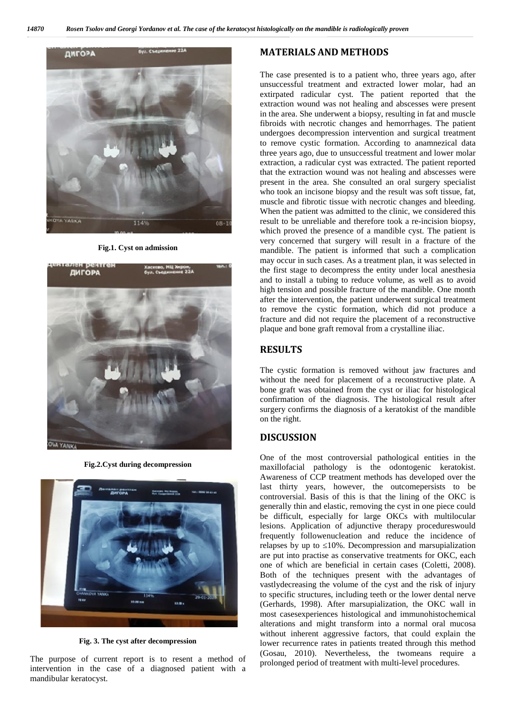

**Fig.1. Cyst on admission**



**Fig.2.Cyst during decompression**



**Fig. 3. The cyst after decompression**

The purpose of current report is to resent a method of intervention in the case of a diagnosed patient with a mandibular keratocyst.

## **MATERIALS AND METHODS**

The case presented is to a patient who, three years ago, after unsuccessful treatment and extracted lower molar, had an extirpated radicular cyst. The patient reported that the extraction wound was not healing and abscesses were present in the area. She underwent a biopsy, resulting in fat and muscle fibroids with necrotic changes and hemorrhages. The patient undergoes decompression intervention and surgical treatment to remove cystic formation. According to anamnezical data three years ago, due to unsuccessful treatment and lower molar extraction, a radicular cyst was extracted. The patient reported that the extraction wound was not healing and abscesses were present in the area. She consulted an oral surgery specialist who took an incisone biopsy and the result was soft tissue, fat, muscle and fibrotic tissue with necrotic changes and bleeding. When the patient was admitted to the clinic, we considered this result to be unreliable and therefore took a re-incision biopsy, which proved the presence of a mandible cyst. The patient is very concerned that surgery will result in a fracture of the mandible. The patient is informed that such a complication may occur in such cases. As a treatment plan, it was selected in the first stage to decompress the entity under local anesthesia and to install a tubing to reduce volume, as well as to avoid high tension and possible fracture of the mandible. One month after the intervention, the patient underwent surgical treatment to remove the cystic formation, which did not produce a fracture and did not require the placement of a reconstructive plaque and bone graft removal from a crystalline iliac.

## **RESULTS**

The cystic formation is removed without jaw fractures and without the need for placement of a reconstructive plate. A bone graft was obtained from the cyst or iliac for histological confirmation of the diagnosis. The histological result after surgery confirms the diagnosis of a keratokist of the mandible on the right.

## **DISCUSSION**

One of the most controversial pathological entities in the maxillofacial pathology is the odontogenic keratokist. Awareness of CCP treatment methods has developed over the last thirty years, however, the outcomepersists to be controversial. Basis of this is that the lining of the OKC is generally thin and elastic, removing the cyst in one piece could be difficult, especially for large OKCs with multilocular lesions. Application of adjunctive therapy procedureswould frequently followenucleation and reduce the incidence of relapses by up to 10%. Decompression and marsupialization are put into practise as conservative treatments for OKC, each one of which are beneficial in certain cases (Coletti, 2008). Both of the techniques present with the advantages of vastlydecreasing the volume of the cyst and the risk of injury to specific structures, including teeth or the lower dental nerve (Gerhards, 1998). After marsupialization, the OKC wall in most casesexperiences histological and immunohistochemical alterations and might transform into a normal oral mucosa without inherent aggressive factors, that could explain the lower recurrence rates in patients treated through this method (Gosau, 2010). Nevertheless, the twomeans require a prolonged period of treatment with multi-level procedures.